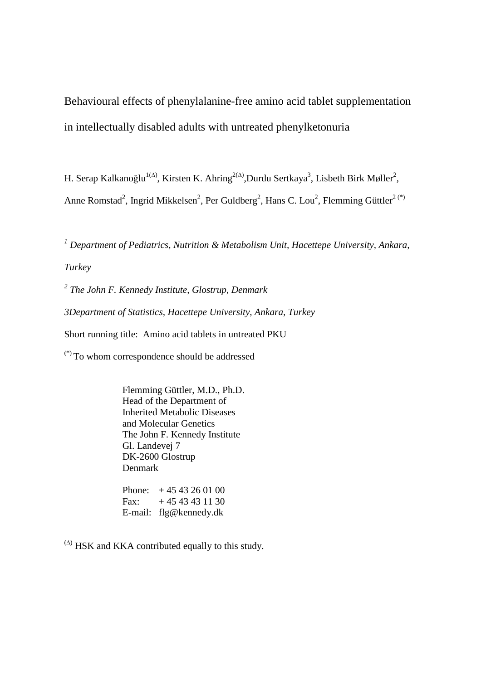Behavioural effects of phenylalanine-free amino acid tablet supplementation in intellectually disabled adults with untreated phenylketonuria

H. Serap Kalkanoğlu<sup>1(∆)</sup>, Kirsten K. Ahring<sup>2(∆)</sup>,Durdu Sertkaya<sup>3</sup>, Lisbeth Birk Møller<sup>2</sup>, Anne Romstad<sup>2</sup>, Ingrid Mikkelsen<sup>2</sup>, Per Guldberg<sup>2</sup>, Hans C. Lou<sup>2</sup>, Flemming Güttler<sup>2(\*)</sup>

<sup>1</sup> Department of Pediatrics, Nutrition & Metabolism Unit, Hacettepe University, Ankara, *Turkey* 

*2 The John F. Kennedy Institute, Glostrup, Denmark 3Department of Statistics, Hacettepe University, Ankara, Turkey*  Short running title: Amino acid tablets in untreated PKU

(\*) To whom correspondence should be addressed

 Flemming Güttler, M.D., Ph.D. Head of the Department of Inherited Metabolic Diseases and Molecular Genetics The John F. Kennedy Institute Gl. Landevej 7 DK-2600 Glostrup Denmark

Phone:  $+4543260100$ Fax:  $+4543431130$ E-mail: flg@kennedy.dk

 $($ <sup>( $\triangle$ )</sup> HSK and KKA contributed equally to this study.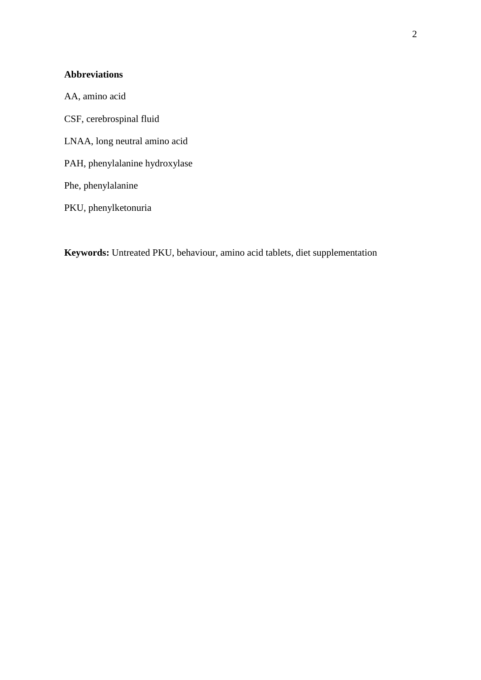# **Abbreviations**

AA, amino acid CSF, cerebrospinal fluid LNAA, long neutral amino acid PAH, phenylalanine hydroxylase Phe, phenylalanine PKU, phenylketonuria

**Keywords:** Untreated PKU, behaviour, amino acid tablets, diet supplementation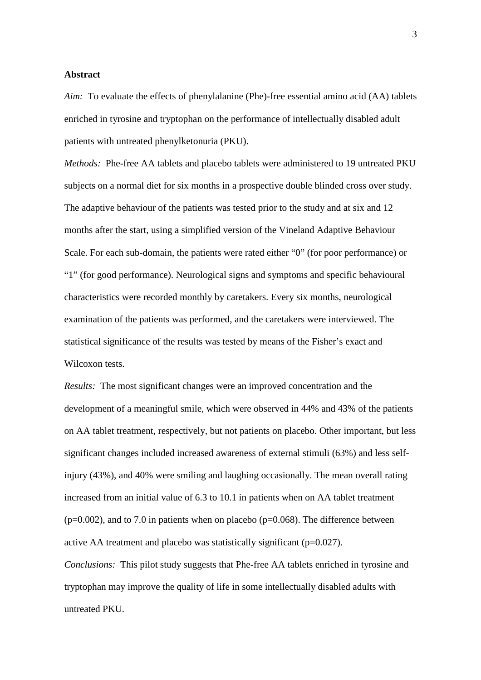# **Abstract**

*Aim:* To evaluate the effects of phenylalanine (Phe)-free essential amino acid (AA) tablets enriched in tyrosine and tryptophan on the performance of intellectually disabled adult patients with untreated phenylketonuria (PKU).

*Methods:* Phe-free AA tablets and placebo tablets were administered to 19 untreated PKU subjects on a normal diet for six months in a prospective double blinded cross over study. The adaptive behaviour of the patients was tested prior to the study and at six and 12 months after the start, using a simplified version of the Vineland Adaptive Behaviour Scale. For each sub-domain, the patients were rated either "0" (for poor performance) or "1" (for good performance). Neurological signs and symptoms and specific behavioural characteristics were recorded monthly by caretakers. Every six months, neurological examination of the patients was performed, and the caretakers were interviewed. The statistical significance of the results was tested by means of the Fisher's exact and Wilcoxon tests.

*Results:* The most significant changes were an improved concentration and the development of a meaningful smile, which were observed in 44% and 43% of the patients on AA tablet treatment, respectively, but not patients on placebo. Other important, but less significant changes included increased awareness of external stimuli (63%) and less selfinjury (43%), and 40% were smiling and laughing occasionally. The mean overall rating increased from an initial value of 6.3 to 10.1 in patients when on AA tablet treatment  $(p=0.002)$ , and to 7.0 in patients when on placebo  $(p=0.068)$ . The difference between active AA treatment and placebo was statistically significant (p=0.027).

*Conclusions:* This pilot study suggests that Phe-free AA tablets enriched in tyrosine and tryptophan may improve the quality of life in some intellectually disabled adults with untreated PKU.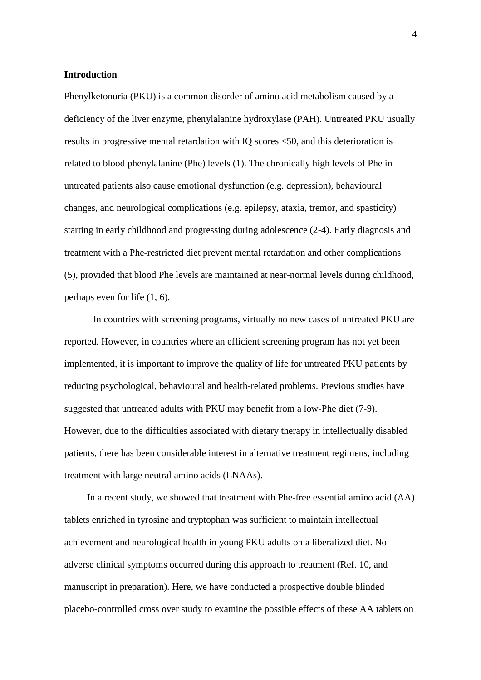# **Introduction**

Phenylketonuria (PKU) is a common disorder of amino acid metabolism caused by a deficiency of the liver enzyme, phenylalanine hydroxylase (PAH). Untreated PKU usually results in progressive mental retardation with IQ scores <50, and this deterioration is related to blood phenylalanine (Phe) levels (1). The chronically high levels of Phe in untreated patients also cause emotional dysfunction (e.g. depression), behavioural changes, and neurological complications (e.g. epilepsy, ataxia, tremor, and spasticity) starting in early childhood and progressing during adolescence (2-4). Early diagnosis and treatment with a Phe-restricted diet prevent mental retardation and other complications (5), provided that blood Phe levels are maintained at near-normal levels during childhood, perhaps even for life (1, 6).

 In countries with screening programs, virtually no new cases of untreated PKU are reported. However, in countries where an efficient screening program has not yet been implemented, it is important to improve the quality of life for untreated PKU patients by reducing psychological, behavioural and health-related problems. Previous studies have suggested that untreated adults with PKU may benefit from a low-Phe diet (7-9). However, due to the difficulties associated with dietary therapy in intellectually disabled patients, there has been considerable interest in alternative treatment regimens, including treatment with large neutral amino acids (LNAAs).

In a recent study, we showed that treatment with Phe-free essential amino acid (AA) tablets enriched in tyrosine and tryptophan was sufficient to maintain intellectual achievement and neurological health in young PKU adults on a liberalized diet. No adverse clinical symptoms occurred during this approach to treatment (Ref. 10, and manuscript in preparation). Here, we have conducted a prospective double blinded placebo-controlled cross over study to examine the possible effects of these AA tablets on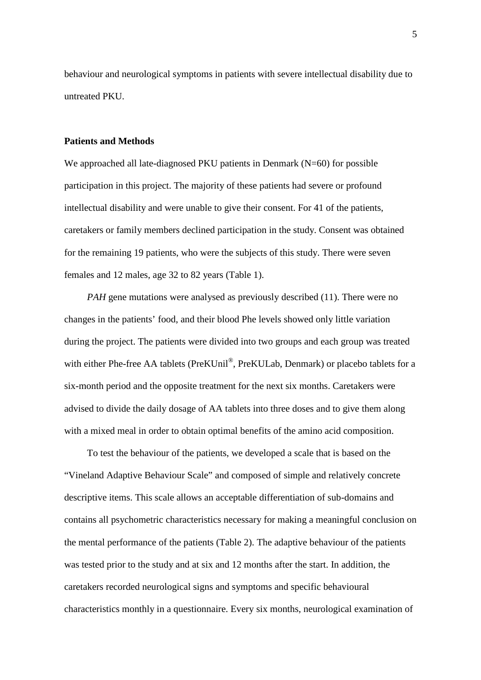behaviour and neurological symptoms in patients with severe intellectual disability due to untreated PKU.

# **Patients and Methods**

We approached all late-diagnosed PKU patients in Denmark  $(N=60)$  for possible participation in this project. The majority of these patients had severe or profound intellectual disability and were unable to give their consent. For 41 of the patients, caretakers or family members declined participation in the study. Consent was obtained for the remaining 19 patients, who were the subjects of this study. There were seven females and 12 males, age 32 to 82 years (Table 1).

*PAH* gene mutations were analysed as previously described (11). There were no changes in the patients' food, and their blood Phe levels showed only little variation during the project. The patients were divided into two groups and each group was treated with either Phe-free AA tablets (PreKUnil<sup>®</sup>, PreKULab, Denmark) or placebo tablets for a six-month period and the opposite treatment for the next six months. Caretakers were advised to divide the daily dosage of AA tablets into three doses and to give them along with a mixed meal in order to obtain optimal benefits of the amino acid composition.

To test the behaviour of the patients, we developed a scale that is based on the "Vineland Adaptive Behaviour Scale" and composed of simple and relatively concrete descriptive items. This scale allows an acceptable differentiation of sub-domains and contains all psychometric characteristics necessary for making a meaningful conclusion on the mental performance of the patients (Table 2). The adaptive behaviour of the patients was tested prior to the study and at six and 12 months after the start. In addition, the caretakers recorded neurological signs and symptoms and specific behavioural characteristics monthly in a questionnaire. Every six months, neurological examination of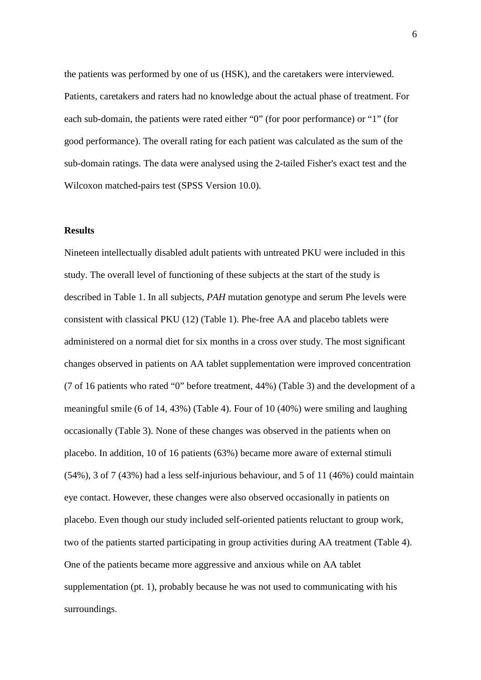the patients was performed by one of us (HSK), and the caretakers were interviewed. Patients, caretakers and raters had no knowledge about the actual phase of treatment. For each sub-domain, the patients were rated either "0" (for poor performance) or "1" (for good performance). The overall rating for each patient was calculated as the sum of the sub-domain ratings. The data were analysed using the 2-tailed Fisher's exact test and the Wilcoxon matched-pairs test (SPSS Version 10.0).

### **Results**

Nineteen intellectually disabled adult patients with untreated PKU were included in this study. The overall level of functioning of these subjects at the start of the study is described in Table 1. In all subjects, *PAH* mutation genotype and serum Phe levels were consistent with classical PKU (12) (Table 1). Phe-free AA and placebo tablets were administered on a normal diet for six months in a cross over study. The most significant changes observed in patients on AA tablet supplementation were improved concentration (7 of 16 patients who rated "0" before treatment, 44%) (Table 3) and the development of a meaningful smile (6 of 14, 43%) (Table 4). Four of 10 (40%) were smiling and laughing occasionally (Table 3). None of these changes was observed in the patients when on placebo. In addition, 10 of 16 patients (63%) became more aware of external stimuli (54%), 3 of 7 (43%) had a less self-injurious behaviour, and 5 of 11 (46%) could maintain eye contact. However, these changes were also observed occasionally in patients on placebo. Even though our study included self-oriented patients reluctant to group work, two of the patients started participating in group activities during AA treatment (Table 4). One of the patients became more aggressive and anxious while on AA tablet supplementation (pt. 1), probably because he was not used to communicating with his surroundings.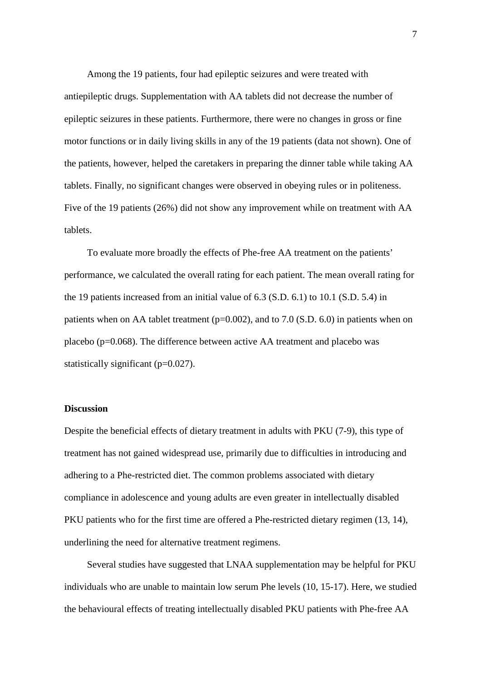Among the 19 patients, four had epileptic seizures and were treated with antiepileptic drugs. Supplementation with AA tablets did not decrease the number of epileptic seizures in these patients. Furthermore, there were no changes in gross or fine motor functions or in daily living skills in any of the 19 patients (data not shown). One of the patients, however, helped the caretakers in preparing the dinner table while taking AA tablets. Finally, no significant changes were observed in obeying rules or in politeness. Five of the 19 patients (26%) did not show any improvement while on treatment with AA tablets.

To evaluate more broadly the effects of Phe-free AA treatment on the patients' performance, we calculated the overall rating for each patient. The mean overall rating for the 19 patients increased from an initial value of 6.3 (S.D. 6.1) to 10.1 (S.D. 5.4) in patients when on AA tablet treatment ( $p=0.002$ ), and to 7.0 (S.D. 6.0) in patients when on placebo ( $p=0.068$ ). The difference between active AA treatment and placebo was statistically significant (p=0.027).

# **Discussion**

Despite the beneficial effects of dietary treatment in adults with PKU (7-9), this type of treatment has not gained widespread use, primarily due to difficulties in introducing and adhering to a Phe-restricted diet. The common problems associated with dietary compliance in adolescence and young adults are even greater in intellectually disabled PKU patients who for the first time are offered a Phe-restricted dietary regimen (13, 14), underlining the need for alternative treatment regimens.

Several studies have suggested that LNAA supplementation may be helpful for PKU individuals who are unable to maintain low serum Phe levels (10, 15-17). Here, we studied the behavioural effects of treating intellectually disabled PKU patients with Phe-free AA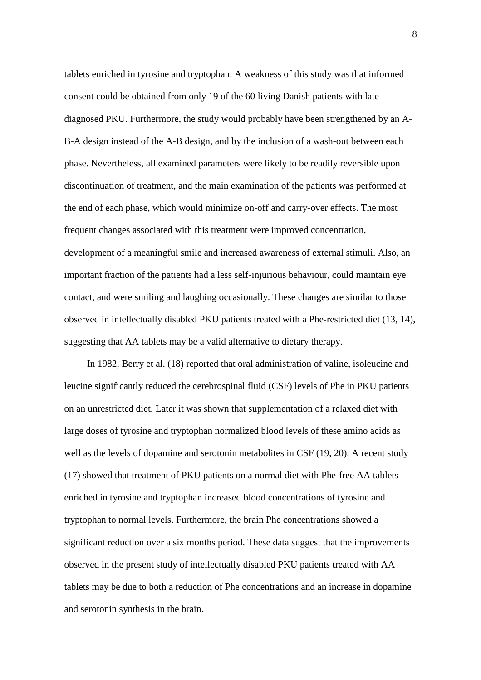tablets enriched in tyrosine and tryptophan. A weakness of this study was that informed consent could be obtained from only 19 of the 60 living Danish patients with latediagnosed PKU. Furthermore, the study would probably have been strengthened by an A-B-A design instead of the A-B design, and by the inclusion of a wash-out between each phase. Nevertheless, all examined parameters were likely to be readily reversible upon discontinuation of treatment, and the main examination of the patients was performed at the end of each phase, which would minimize on-off and carry-over effects. The most frequent changes associated with this treatment were improved concentration, development of a meaningful smile and increased awareness of external stimuli. Also, an important fraction of the patients had a less self-injurious behaviour, could maintain eye contact, and were smiling and laughing occasionally. These changes are similar to those observed in intellectually disabled PKU patients treated with a Phe-restricted diet (13, 14), suggesting that AA tablets may be a valid alternative to dietary therapy.

In 1982, Berry et al. (18) reported that oral administration of valine, isoleucine and leucine significantly reduced the cerebrospinal fluid (CSF) levels of Phe in PKU patients on an unrestricted diet. Later it was shown that supplementation of a relaxed diet with large doses of tyrosine and tryptophan normalized blood levels of these amino acids as well as the levels of dopamine and serotonin metabolites in CSF (19, 20). A recent study (17) showed that treatment of PKU patients on a normal diet with Phe-free AA tablets enriched in tyrosine and tryptophan increased blood concentrations of tyrosine and tryptophan to normal levels. Furthermore, the brain Phe concentrations showed a significant reduction over a six months period. These data suggest that the improvements observed in the present study of intellectually disabled PKU patients treated with AA tablets may be due to both a reduction of Phe concentrations and an increase in dopamine and serotonin synthesis in the brain.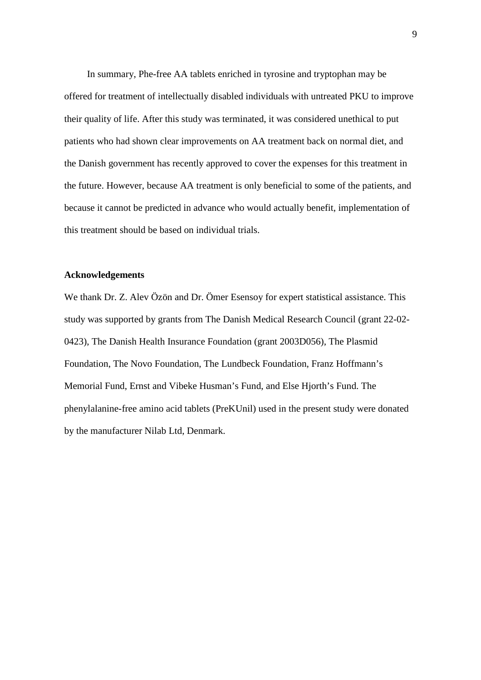In summary, Phe-free AA tablets enriched in tyrosine and tryptophan may be offered for treatment of intellectually disabled individuals with untreated PKU to improve their quality of life. After this study was terminated, it was considered unethical to put patients who had shown clear improvements on AA treatment back on normal diet, and the Danish government has recently approved to cover the expenses for this treatment in the future. However, because AA treatment is only beneficial to some of the patients, and because it cannot be predicted in advance who would actually benefit, implementation of this treatment should be based on individual trials.

# **Acknowledgements**

We thank Dr. Z. Alev Özön and Dr. Ömer Esensoy for expert statistical assistance. This study was supported by grants from The Danish Medical Research Council (grant 22-02- 0423), The Danish Health Insurance Foundation (grant 2003D056), The Plasmid Foundation, The Novo Foundation, The Lundbeck Foundation, Franz Hoffmann's Memorial Fund, Ernst and Vibeke Husman's Fund, and Else Hjorth's Fund. The phenylalanine-free amino acid tablets (PreKUnil) used in the present study were donated by the manufacturer Nilab Ltd, Denmark.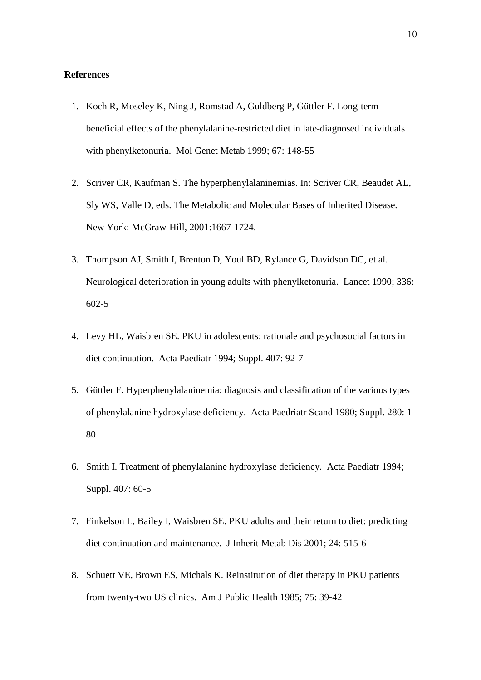# **References**

- 1. Koch R, Moseley K, Ning J, Romstad A, Guldberg P, Güttler F. Long-term beneficial effects of the phenylalanine-restricted diet in late-diagnosed individuals with phenylketonuria. Mol Genet Metab 1999; 67: 148-55
- 2. Scriver CR, Kaufman S. The hyperphenylalaninemias. In: Scriver CR, Beaudet AL, Sly WS, Valle D, eds. The Metabolic and Molecular Bases of Inherited Disease. New York: McGraw-Hill, 2001:1667-1724.
- 3. Thompson AJ, Smith I, Brenton D, Youl BD, Rylance G, Davidson DC, et al. Neurological deterioration in young adults with phenylketonuria. Lancet 1990; 336: 602-5
- 4. Levy HL, Waisbren SE. PKU in adolescents: rationale and psychosocial factors in diet continuation. Acta Paediatr 1994; Suppl. 407: 92-7
- 5. Güttler F. Hyperphenylalaninemia: diagnosis and classification of the various types of phenylalanine hydroxylase deficiency. Acta Paedriatr Scand 1980; Suppl. 280: 1- 80
- 6. Smith I. Treatment of phenylalanine hydroxylase deficiency. Acta Paediatr 1994; Suppl. 407: 60-5
- 7. Finkelson L, Bailey I, Waisbren SE. PKU adults and their return to diet: predicting diet continuation and maintenance. J Inherit Metab Dis 2001; 24: 515-6
- 8. Schuett VE, Brown ES, Michals K. Reinstitution of diet therapy in PKU patients from twenty-two US clinics. Am J Public Health 1985; 75: 39-42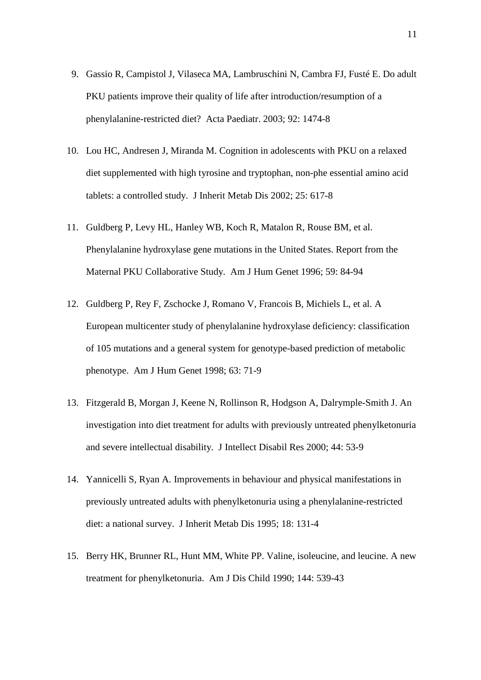- 9. Gassio R, Campistol J, Vilaseca MA, Lambruschini N, Cambra FJ, Fusté E. Do adult PKU patients improve their quality of life after introduction/resumption of a phenylalanine-restricted diet? Acta Paediatr. 2003; 92: 1474-8
- 10. Lou HC, Andresen J, Miranda M. Cognition in adolescents with PKU on a relaxed diet supplemented with high tyrosine and tryptophan, non-phe essential amino acid tablets: a controlled study. J Inherit Metab Dis 2002; 25: 617-8
- 11. Guldberg P, Levy HL, Hanley WB, Koch R, Matalon R, Rouse BM, et al. Phenylalanine hydroxylase gene mutations in the United States. Report from the Maternal PKU Collaborative Study. Am J Hum Genet 1996; 59: 84-94
- 12. Guldberg P, Rey F, Zschocke J, Romano V, Francois B, Michiels L, et al. A European multicenter study of phenylalanine hydroxylase deficiency: classification of 105 mutations and a general system for genotype-based prediction of metabolic phenotype. Am J Hum Genet 1998; 63: 71-9
- 13. Fitzgerald B, Morgan J, Keene N, Rollinson R, Hodgson A, Dalrymple-Smith J. An investigation into diet treatment for adults with previously untreated phenylketonuria and severe intellectual disability. J Intellect Disabil Res 2000; 44: 53-9
- 14. Yannicelli S, Ryan A. Improvements in behaviour and physical manifestations in previously untreated adults with phenylketonuria using a phenylalanine-restricted diet: a national survey. J Inherit Metab Dis 1995; 18: 131-4
- 15. Berry HK, Brunner RL, Hunt MM, White PP. Valine, isoleucine, and leucine. A new treatment for phenylketonuria. Am J Dis Child 1990; 144: 539-43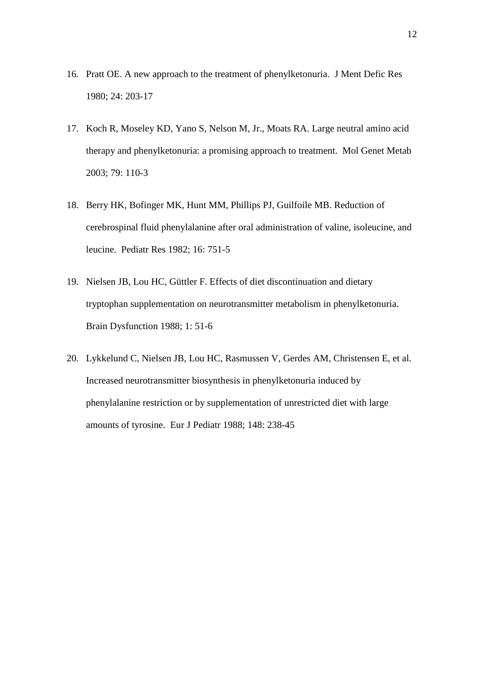- 16. Pratt OE. A new approach to the treatment of phenylketonuria. J Ment Defic Res 1980; 24: 203-17
- 17. Koch R, Moseley KD, Yano S, Nelson M, Jr., Moats RA. Large neutral amino acid therapy and phenylketonuria: a promising approach to treatment. Mol Genet Metab 2003; 79: 110-3
- 18. Berry HK, Bofinger MK, Hunt MM, Phillips PJ, Guilfoile MB. Reduction of cerebrospinal fluid phenylalanine after oral administration of valine, isoleucine, and leucine. Pediatr Res 1982; 16: 751-5
- 19. Nielsen JB, Lou HC, Güttler F. Effects of diet discontinuation and dietary tryptophan supplementation on neurotransmitter metabolism in phenylketonuria. Brain Dysfunction 1988; 1: 51-6
- 20. Lykkelund C, Nielsen JB, Lou HC, Rasmussen V, Gerdes AM, Christensen E, et al. Increased neurotransmitter biosynthesis in phenylketonuria induced by phenylalanine restriction or by supplementation of unrestricted diet with large amounts of tyrosine. Eur J Pediatr 1988; 148: 238-45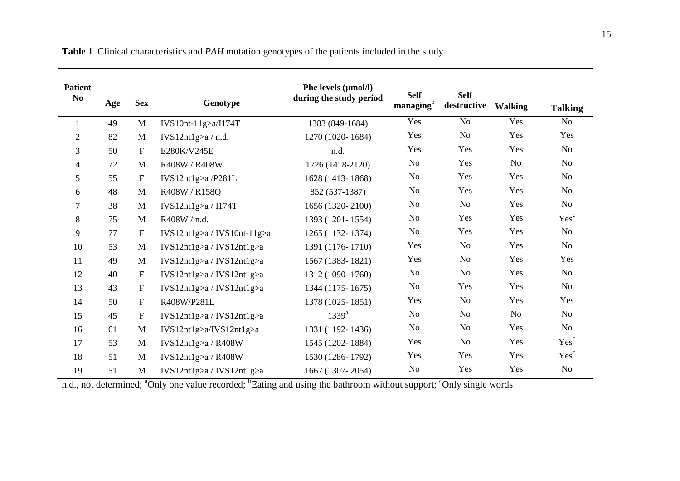| <b>Patient</b> |     |                           |                               | Phe levels (µmol/l)     | <b>Self</b>           | <b>Self</b>    |                |                  |
|----------------|-----|---------------------------|-------------------------------|-------------------------|-----------------------|----------------|----------------|------------------|
| N <sub>0</sub> | Age | <b>Sex</b>                | Genotype                      | during the study period | managing <sup>b</sup> | destructive    | <b>Walking</b> | <b>Talking</b>   |
| 1              | 49  | M                         | IVS10nt-11g>a/I174T           | 1383 (849-1684)         | Yes                   | No             | Yes            | No               |
| $\overline{c}$ | 82  | M                         | IVS12nt1g>a/n.d.              | 1270 (1020-1684)        | Yes                   | No             | Yes            | Yes              |
| 3              | 50  | $\mathbf{F}$              | E280K/V245E                   | n.d.                    | Yes                   | Yes            | Yes            | No               |
| 4              | 72  | M                         | R408W / R408W                 | 1726 (1418-2120)        | No                    | Yes            | N <sub>o</sub> | No               |
| 5              | 55  | $\boldsymbol{\mathrm{F}}$ | IVS12nt1g>a/P281L             | 1628 (1413-1868)        | N <sub>0</sub>        | Yes            | Yes            | No               |
| 6              | 48  | M                         | R408W / R158Q                 | 852 (537-1387)          | N <sub>0</sub>        | Yes            | Yes            | <b>No</b>        |
| 7              | 38  | M                         | IVS12nt1g>a/1174T             | 1656 (1320-2100)        | No                    | No             | Yes            | N <sub>o</sub>   |
| 8              | 75  | M                         | R408W / n.d.                  | 1393 (1201-1554)        | N <sub>0</sub>        | Yes            | Yes            | Yes <sup>c</sup> |
| 9              | 77  | $\boldsymbol{\mathrm{F}}$ | $IVS12nt1g>a / IVS10nt-11g>a$ | 1265 (1132-1374)        | N <sub>0</sub>        | Yes            | Yes            | No               |
| 10             | 53  | M                         | IVS12nt1g>a / IVS12nt1g>a     | 1391 (1176-1710)        | Yes                   | No             | Yes            | No               |
| 11             | 49  | M                         | IVS12nt1g>a / IVS12nt1g>a     | 1567 (1383-1821)        | Yes                   | No             | Yes            | Yes              |
| 12             | 40  | $\mathbf F$               | IVS12nt1g>a / IVS12nt1g>a     | 1312 (1090-1760)        | No                    | No             | Yes            | No               |
| 13             | 43  | $\boldsymbol{\mathrm{F}}$ | IVS12nt1g>a / IVS12nt1g>a     | 1344 (1175-1675)        | N <sub>o</sub>        | Yes            | Yes            | No               |
| 14             | 50  | $\mathbf F$               | R408W/P281L                   | 1378 (1025-1851)        | Yes                   | No             | Yes            | Yes              |
| 15             | 45  | $\mathbf F$               | IVS12nt1g>a / IVS12nt1g>a     | $1339^{a}$              | N <sub>0</sub>        | No             | No             | No               |
| 16             | 61  | M                         | IVS12nt1g>a/IVS12nt1g>a       | 1331 (1192-1436)        | N <sub>0</sub>        | N <sub>0</sub> | Yes            | No               |
| 17             | 53  | M                         | IVS12nt1g>a/R408W             | 1545 (1202-1884)        | Yes                   | No             | Yes            | Yes <sup>c</sup> |
| 18             | 51  | M                         | IVS12nt1g>a/R408W             | 1530 (1286-1792)        | Yes                   | Yes            | Yes            | Yes <sup>c</sup> |
| 19             | 51  | M                         | IVS12nt1g>a / IVS12nt1g>a     | 1667 (1307-2054)        | No                    | Yes            | Yes            | No               |

**Table 1** Clinical characteristics and *PAH* mutation genotypes of the patients included in the study

n.d., not determined; <sup>a</sup>Only one value recorded; <sup>b</sup>Eating and using the bathroom without support; <sup>c</sup>Only single words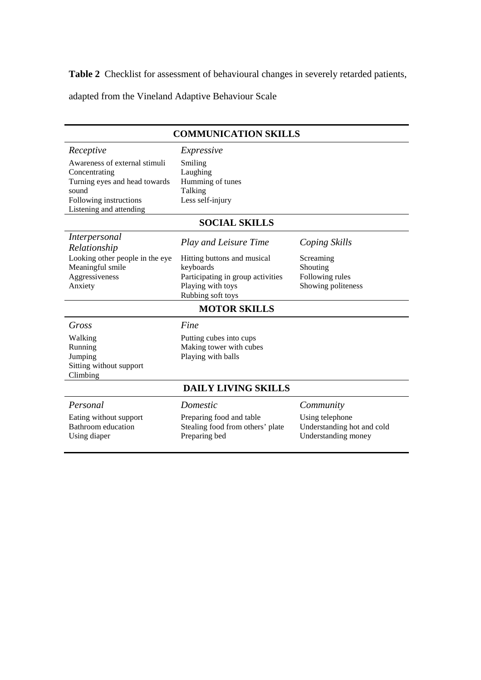**Table 2** Checklist for assessment of behavioural changes in severely retarded patients,

adapted from the Vineland Adaptive Behaviour Scale

#### **COMMUNICATION SKILLS**  *Receptive Expressive*  Awareness of external stimuli Concentrating Turning eyes and head towards sound Following instructions Listening and attending Smiling Laughing Humming of tunes Talking Less self-injury **SOCIAL SKILLS**  *Interpersonal Relationship Play and Leisure Time Coping Skills*  Looking other people in the eye Meaningful smile Aggressiveness Anxiety Hitting buttons and musical keyboards Participating in group activities Playing with toys Rubbing soft toys Screaming Shouting Following rules Showing politeness **MOTOR SKILLS**  *Gross Fine*  Walking Running Jumping Sitting without support Climbing Putting cubes into cups Making tower with cubes Playing with balls **DAILY LIVING SKILLS**  *Personal Domestic Community*  Eating without support Bathroom education Using diaper Preparing food and table Stealing food from others' plate Preparing bed Using telephone Understanding hot and cold Understanding money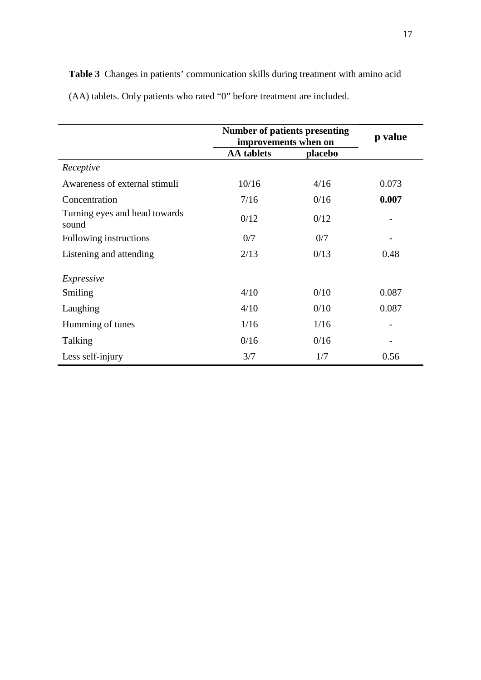|                                        | <b>Number of patients presenting</b><br>improvements when on |         | p value |
|----------------------------------------|--------------------------------------------------------------|---------|---------|
|                                        | <b>AA</b> tablets                                            | placebo |         |
| Receptive                              |                                                              |         |         |
| Awareness of external stimuli          | 10/16                                                        | 4/16    | 0.073   |
| Concentration                          | 7/16                                                         | 0/16    | 0.007   |
| Turning eyes and head towards<br>sound | 0/12                                                         | 0/12    |         |
| Following instructions                 | 0/7                                                          | 0/7     |         |
| Listening and attending                | 2/13                                                         | 0/13    | 0.48    |
| Expressive                             |                                                              |         |         |
| Smiling                                | 4/10                                                         | 0/10    | 0.087   |
| Laughing                               | 4/10                                                         | 0/10    | 0.087   |
| Humming of tunes                       | 1/16                                                         | 1/16    |         |
| Talking                                | 0/16                                                         | 0/16    |         |
| Less self-injury                       | 3/7                                                          | 1/7     | 0.56    |

**Table 3** Changes in patients' communication skills during treatment with amino acid (AA) tablets. Only patients who rated "0" before treatment are included.